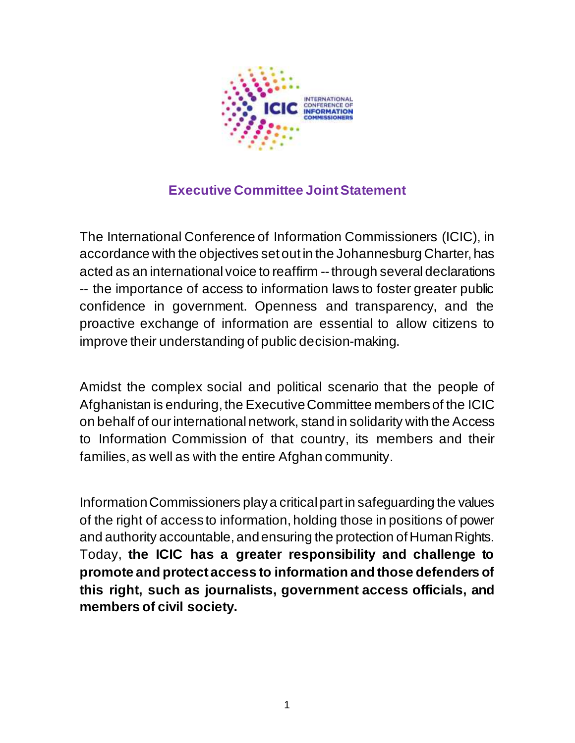

## **Executive Committee Joint Statement**

The International Conference of Information Commissioners (ICIC), in accordance with the objectives set out in the Johannesburg Charter, has acted as an international voice to reaffirm --through several declarations -- the importance of access to information laws to foster greater public confidence in government. Openness and transparency, and the proactive exchange of information are essential to allow citizens to improve their understanding of public decision-making.

Amidst the complex social and political scenario that the people of Afghanistan is enduring, the Executive Committee members of the ICIC on behalf of our international network, stand in solidarity with the Access to Information Commission of that country, its members and their families, as well as with the entire Afghan community.

Information Commissioners play a critical part in safeguarding the values of the right of access to information, holding those in positions of power and authority accountable, and ensuring the protection of Human Rights. Today, **the ICIC has a greater responsibility and challenge to promote and protect access to information and those defenders of this right, such as journalists, government access officials, and members of civil society.**